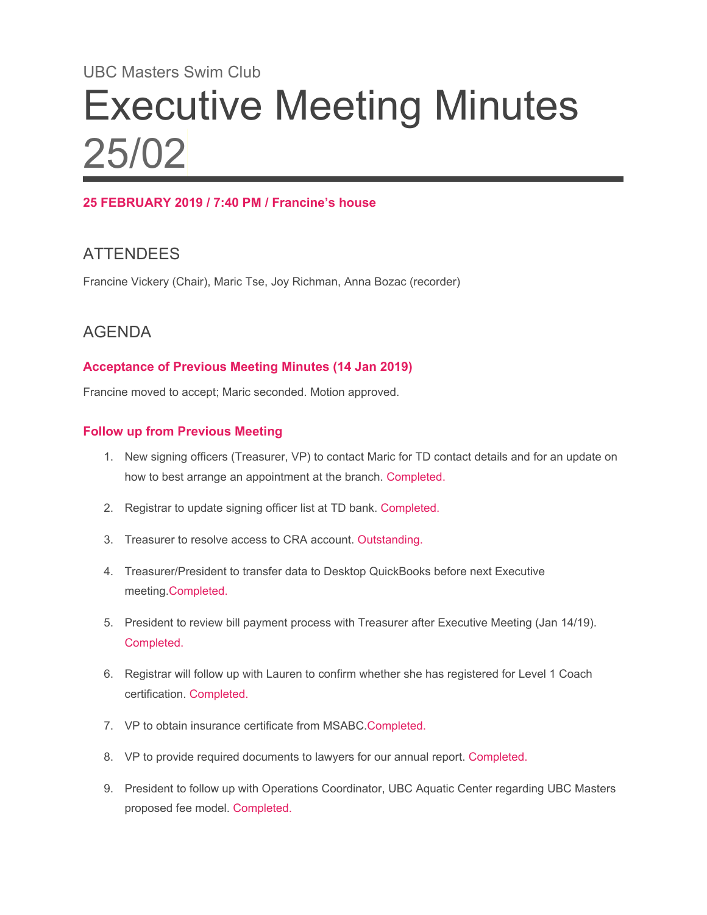# UBC Masters Swim Club Executive Meeting Minutes 25/02

### **25 FEBRUARY 2019 / 7:40 PM / Francine's house**

## **ATTENDEES**

Francine Vickery (Chair), Maric Tse, Joy Richman, Anna Bozac (recorder)

## AGENDA

#### **Acceptance of Previous Meeting Minutes (14 Jan 2019)**

Francine moved to accept; Maric seconded. Motion approved.

#### **Follow up from Previous Meeting**

- 1. New signing officers (Treasurer, VP) to contact Maric for TD contact details and for an update on how to best arrange an appointment at the branch. Completed.
- 2. Registrar to update signing officer list at TD bank. Completed.
- 3. Treasurer to resolve access to CRA account. Outstanding.
- 4. Treasurer/President to transfer data to Desktop QuickBooks before next Executive meeting.Completed.
- 5. President to review bill payment process with Treasurer after Executive Meeting (Jan 14/19). Completed.
- 6. Registrar will follow up with Lauren to confirm whether she has registered for Level 1 Coach certification. Completed.
- 7. VP to obtain insurance certificate from MSABC.Completed.
- 8. VP to provide required documents to lawyers for our annual report. Completed.
- 9. President to follow up with Operations Coordinator, UBC Aquatic Center regarding UBC Masters proposed fee model. Completed.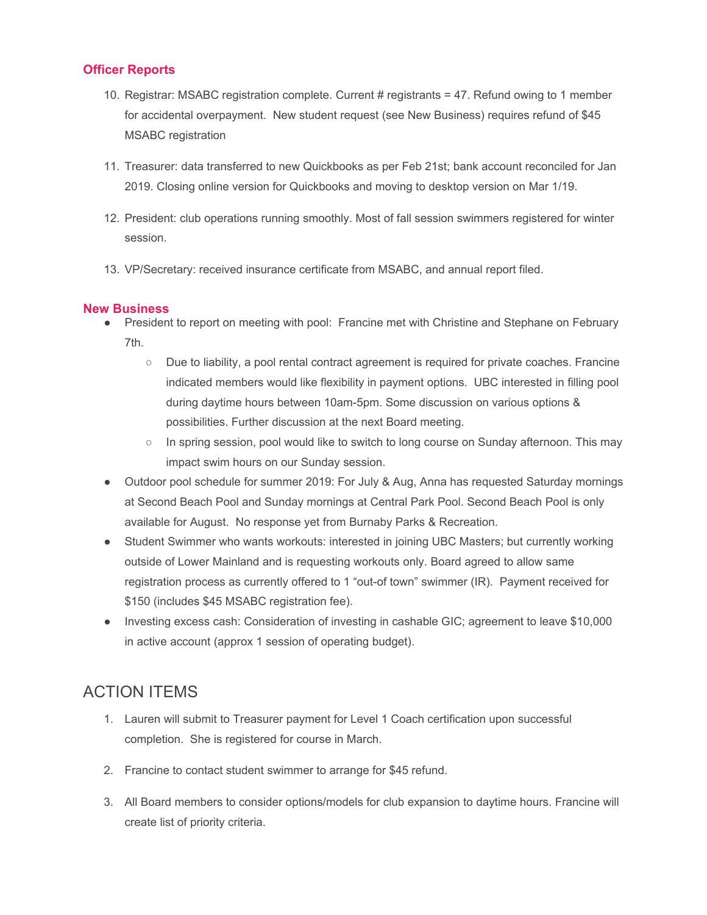#### **Officer Reports**

- 10. Registrar: MSABC registration complete. Current # registrants = 47. Refund owing to 1 member for accidental overpayment. New student request (see New Business) requires refund of \$45 MSABC registration
- 11. Treasurer: data transferred to new Quickbooks as per Feb 21st; bank account reconciled for Jan 2019. Closing online version for Quickbooks and moving to desktop version on Mar 1/19.
- 12. President: club operations running smoothly. Most of fall session swimmers registered for winter session.
- 13. VP/Secretary: received insurance certificate from MSABC, and annual report filed.

#### **New Business**

- President to report on meeting with pool: Francine met with Christine and Stephane on February 7th.
	- Due to liability, a pool rental contract agreement is required for private coaches. Francine indicated members would like flexibility in payment options. UBC interested in filling pool during daytime hours between 10am-5pm. Some discussion on various options & possibilities. Further discussion at the next Board meeting.
	- In spring session, pool would like to switch to long course on Sunday afternoon. This may impact swim hours on our Sunday session.
- Outdoor pool schedule for summer 2019: For July & Aug, Anna has requested Saturday mornings at Second Beach Pool and Sunday mornings at Central Park Pool. Second Beach Pool is only available for August. No response yet from Burnaby Parks & Recreation.
- Student Swimmer who wants workouts: interested in joining UBC Masters; but currently working outside of Lower Mainland and is requesting workouts only. Board agreed to allow same registration process as currently offered to 1 "out-of town" swimmer (IR). Payment received for \$150 (includes \$45 MSABC registration fee).
- Investing excess cash: Consideration of investing in cashable GIC; agreement to leave \$10,000 in active account (approx 1 session of operating budget).

## ACTION ITEMS

- 1. Lauren will submit to Treasurer payment for Level 1 Coach certification upon successful completion. She is registered for course in March.
- 2. Francine to contact student swimmer to arrange for \$45 refund.
- 3. All Board members to consider options/models for club expansion to daytime hours. Francine will create list of priority criteria.